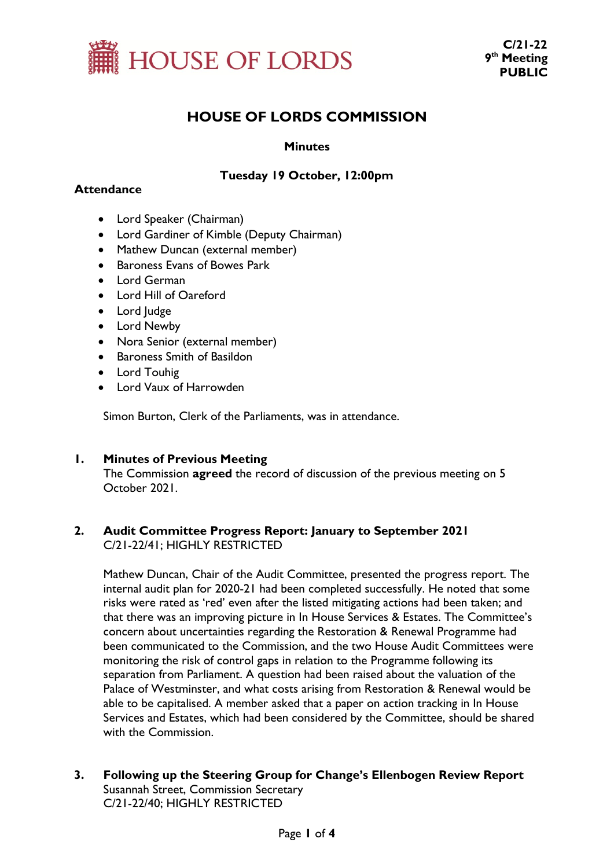

# **HOUSE OF LORDS COMMISSION**

## **Minutes**

# **Tuesday 19 October, 12:00pm**

## **Attendance**

- Lord Speaker (Chairman)
- Lord Gardiner of Kimble (Deputy Chairman)
- Mathew Duncan (external member)
- Baroness Evans of Bowes Park
- Lord German
- Lord Hill of Oareford
- Lord Judge
- Lord Newby
- Nora Senior (external member)
- Baroness Smith of Basildon
- Lord Touhig
- Lord Vaux of Harrowden

Simon Burton, Clerk of the Parliaments, was in attendance.

#### **1. Minutes of Previous Meeting**

The Commission **agreed** the record of discussion of the previous meeting on 5 October 2021.

## **2. Audit Committee Progress Report: January to September 2021** C/21-22/41; HIGHLY RESTRICTED

Mathew Duncan, Chair of the Audit Committee, presented the progress report. The internal audit plan for 2020-21 had been completed successfully. He noted that some risks were rated as 'red' even after the listed mitigating actions had been taken; and that there was an improving picture in In House Services & Estates. The Committee's concern about uncertainties regarding the Restoration & Renewal Programme had been communicated to the Commission, and the two House Audit Committees were monitoring the risk of control gaps in relation to the Programme following its separation from Parliament. A question had been raised about the valuation of the Palace of Westminster, and what costs arising from Restoration & Renewal would be able to be capitalised. A member asked that a paper on action tracking in In House Services and Estates, which had been considered by the Committee, should be shared with the Commission.

**3. Following up the Steering Group for Change's Ellenbogen Review Report** Susannah Street, Commission Secretary C/21-22/40; HIGHLY RESTRICTED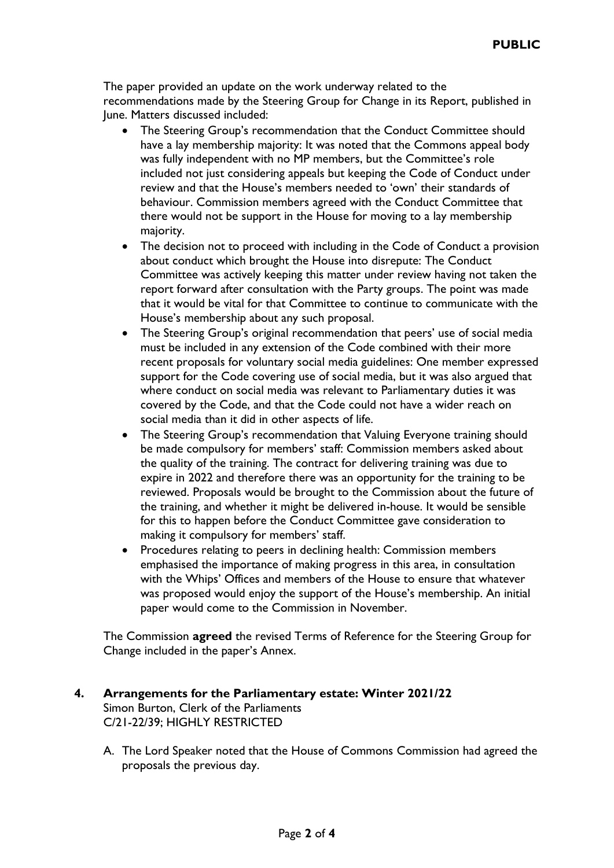The paper provided an update on the work underway related to the recommendations made by the Steering Group for Change in its Report, published in June. Matters discussed included:

- The Steering Group's recommendation that the Conduct Committee should have a lay membership majority: It was noted that the Commons appeal body was fully independent with no MP members, but the Committee's role included not just considering appeals but keeping the Code of Conduct under review and that the House's members needed to 'own' their standards of behaviour. Commission members agreed with the Conduct Committee that there would not be support in the House for moving to a lay membership majority.
- The decision not to proceed with including in the Code of Conduct a provision about conduct which brought the House into disrepute: The Conduct Committee was actively keeping this matter under review having not taken the report forward after consultation with the Party groups. The point was made that it would be vital for that Committee to continue to communicate with the House's membership about any such proposal.
- The Steering Group's original recommendation that peers' use of social media must be included in any extension of the Code combined with their more recent proposals for voluntary social media guidelines: One member expressed support for the Code covering use of social media, but it was also argued that where conduct on social media was relevant to Parliamentary duties it was covered by the Code, and that the Code could not have a wider reach on social media than it did in other aspects of life.
- The Steering Group's recommendation that Valuing Everyone training should be made compulsory for members' staff: Commission members asked about the quality of the training. The contract for delivering training was due to expire in 2022 and therefore there was an opportunity for the training to be reviewed. Proposals would be brought to the Commission about the future of the training, and whether it might be delivered in-house. It would be sensible for this to happen before the Conduct Committee gave consideration to making it compulsory for members' staff.
- Procedures relating to peers in declining health: Commission members emphasised the importance of making progress in this area, in consultation with the Whips' Offices and members of the House to ensure that whatever was proposed would enjoy the support of the House's membership. An initial paper would come to the Commission in November.

The Commission **agreed** the revised Terms of Reference for the Steering Group for Change included in the paper's Annex.

## **4. Arrangements for the Parliamentary estate: Winter 2021/22** Simon Burton, Clerk of the Parliaments C/21-22/39; HIGHLY RESTRICTED

A. The Lord Speaker noted that the House of Commons Commission had agreed the proposals the previous day.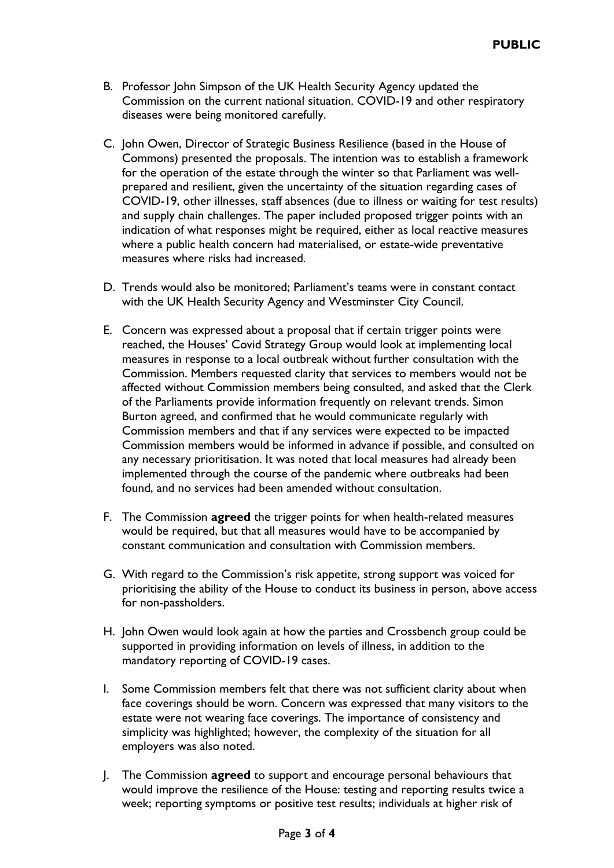- B. Professor John Simpson of the UK Health Security Agency updated the Commission on the current national situation. COVID-19 and other respiratory diseases were being monitored carefully.
- C. John Owen, Director of Strategic Business Resilience (based in the House of Commons) presented the proposals. The intention was to establish a framework for the operation of the estate through the winter so that Parliament was wellprepared and resilient, given the uncertainty of the situation regarding cases of COVID-19, other illnesses, staff absences (due to illness or waiting for test results) and supply chain challenges. The paper included proposed trigger points with an indication of what responses might be required, either as local reactive measures where a public health concern had materialised, or estate-wide preventative measures where risks had increased.
- D. Trends would also be monitored; Parliament's teams were in constant contact with the UK Health Security Agency and Westminster City Council.
- E. Concern was expressed about a proposal that if certain trigger points were reached, the Houses' Covid Strategy Group would look at implementing local measures in response to a local outbreak without further consultation with the Commission. Members requested clarity that services to members would not be affected without Commission members being consulted, and asked that the Clerk of the Parliaments provide information frequently on relevant trends. Simon Burton agreed, and confirmed that he would communicate regularly with Commission members and that if any services were expected to be impacted Commission members would be informed in advance if possible, and consulted on any necessary prioritisation. It was noted that local measures had already been implemented through the course of the pandemic where outbreaks had been found, and no services had been amended without consultation.
- F. The Commission **agreed** the trigger points for when health-related measures would be required, but that all measures would have to be accompanied by constant communication and consultation with Commission members.
- G. With regard to the Commission's risk appetite, strong support was voiced for prioritising the ability of the House to conduct its business in person, above access for non-passholders.
- H. John Owen would look again at how the parties and Crossbench group could be supported in providing information on levels of illness, in addition to the mandatory reporting of COVID-19 cases.
- I. Some Commission members felt that there was not sufficient clarity about when face coverings should be worn. Concern was expressed that many visitors to the estate were not wearing face coverings. The importance of consistency and simplicity was highlighted; however, the complexity of the situation for all employers was also noted.
- J. The Commission **agreed** to support and encourage personal behaviours that would improve the resilience of the House: testing and reporting results twice a week; reporting symptoms or positive test results; individuals at higher risk of